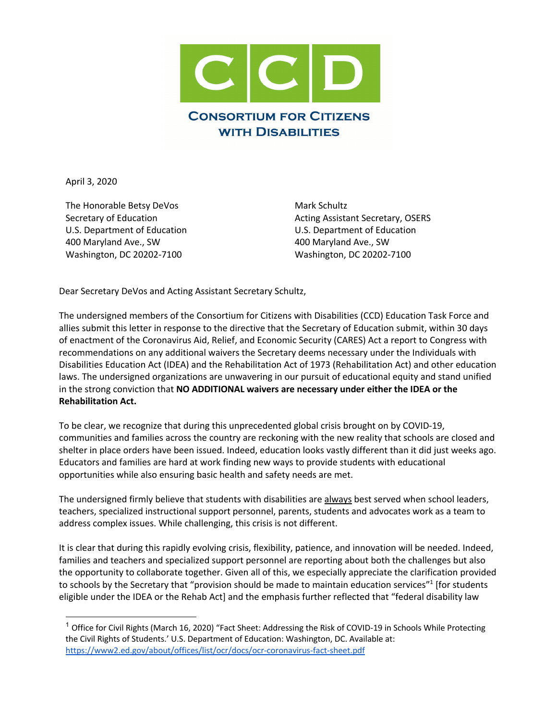

April 3, 2020

The Honorable Betsy DeVos Secretary of Education U.S. Department of Education 400 Maryland Ave., SW Washington, DC 20202-7100

Mark Schultz Acting Assistant Secretary, OSERS U.S. Department of Education 400 Maryland Ave., SW Washington, DC 20202-7100

Dear Secretary DeVos and Acting Assistant Secretary Schultz,

The undersigned members of the Consortium for Citizens with Disabilities (CCD) Education Task Force and allies submit this letter in response to the directive that the Secretary of Education submit, within 30 days of enactment of the Coronavirus Aid, Relief, and Economic Security (CARES) Act a report to Congress with recommendations on any additional waivers the Secretary deems necessary under the Individuals with Disabilities Education Act (IDEA) and the Rehabilitation Act of 1973 (Rehabilitation Act) and other education laws. The undersigned organizations are unwavering in our pursuit of educational equity and stand unified in the strong conviction that **NO ADDITIONAL waivers are necessary under either the IDEA or the Rehabilitation Act.** 

To be clear, we recognize that during this unprecedented global crisis brought on by COVID-19, communities and families across the country are reckoning with the new reality that schools are closed and shelter in place orders have been issued. Indeed, education looks vastly different than it did just weeks ago. Educators and families are hard at work finding new ways to provide students with educational opportunities while also ensuring basic health and safety needs are met.

The undersigned firmly believe that students with disabilities are always best served when school leaders, teachers, specialized instructional support personnel, parents, students and advocates work as a team to address complex issues. While challenging, this crisis is not different.

It is clear that during this rapidly evolving crisis, flexibility, patience, and innovation will be needed. Indeed, families and teachers and specialized support personnel are reporting about both the challenges but also the opportunity to collaborate together. Given all of this, we especially appreciate the clarification provided to schools by the Secretary that "provision should be made to maintain education services"<sup>1</sup> [for students eligible under the IDEA or the Rehab Act] and the emphasis further reflected that "federal disability law

<sup>&</sup>lt;sup>1</sup> Office for Civil Rights (March 16, 2020) "Fact Sheet: Addressing the Risk of COVID-19 in Schools While Protecting the Civil Rights of Students.' U.S. Department of Education: Washington, DC. Available at: https://www2.ed.gov/about/offices/list/ocr/docs/ocr-coronavirus-fact-sheet.pdf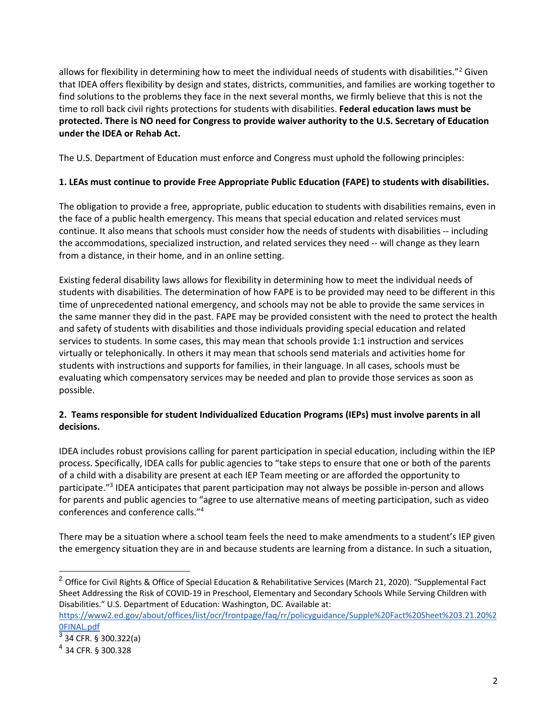allows for flexibility in determining how to meet the individual needs of students with disabilities."2 Given that IDEA offers flexibility by design and states, districts, communities, and families are working together to find solutions to the problems they face in the next several months, we firmly believe that this is not the time to roll back civil rights protections for students with disabilities. **Federal education laws must be protected. There is NO need for Congress to provide waiver authority to the U.S. Secretary of Education under the IDEA or Rehab Act.**

The U.S. Department of Education must enforce and Congress must uphold the following principles:

# **1. LEAs must continue to provide Free Appropriate Public Education (FAPE) to students with disabilities.**

The obligation to provide a free, appropriate, public education to students with disabilities remains, even in the face of a public health emergency. This means that special education and related services must continue. It also means that schools must consider how the needs of students with disabilities -- including the accommodations, specialized instruction, and related services they need -- will change as they learn from a distance, in their home, and in an online setting.

Existing federal disability laws allows for flexibility in determining how to meet the individual needs of students with disabilities. The determination of how FAPE is to be provided may need to be different in this time of unprecedented national emergency, and schools may not be able to provide the same services in the same manner they did in the past. FAPE may be provided consistent with the need to protect the health and safety of students with disabilities and those individuals providing special education and related services to students. In some cases, this may mean that schools provide 1:1 instruction and services virtually or telephonically. In others it may mean that schools send materials and activities home for students with instructions and supports for families, in their language. In all cases, schools must be evaluating which compensatory services may be needed and plan to provide those services as soon as possible.

# **2. Teams responsible for student Individualized Education Programs (IEPs) must involve parents in all decisions.**

IDEA includes robust provisions calling for parent participation in special education, including within the IEP process. Specifically, IDEA calls for public agencies to "take steps to ensure that one or both of the parents of a child with a disability are present at each IEP Team meeting or are afforded the opportunity to participate."3 IDEA anticipates that parent participation may not always be possible in-person and allows for parents and public agencies to "agree to use alternative means of meeting participation, such as video conferences and conference calls."4

There may be a situation where a school team feels the need to make amendments to a student's IEP given the emergency situation they are in and because students are learning from a distance. In such a situation,

<sup>&</sup>lt;sup>2</sup> Office for Civil Rights & Office of Special Education & Rehabilitative Services (March 21, 2020). "Supplemental Fact Sheet Addressing the Risk of COVID-19 in Preschool, Elementary and Secondary Schools While Serving Children with Disabilities." U.S. Department of Education: Washington, DC. Available at:

https://www2.ed.gov/about/offices/list/ocr/frontpage/faq/rr/policyguidance/Supple%20Fact%20Sheet%203.21.20%2 0FINAL.pdf

 $3$  34 CFR. § 300.322(a)

<sup>4</sup> 34 CFR. § 300.328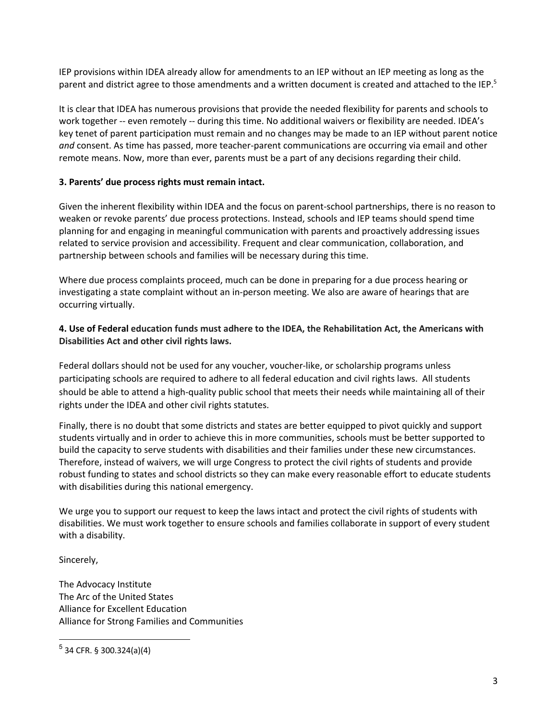IEP provisions within IDEA already allow for amendments to an IEP without an IEP meeting as long as the parent and district agree to those amendments and a written document is created and attached to the IEP.<sup>5</sup>

It is clear that IDEA has numerous provisions that provide the needed flexibility for parents and schools to work together -- even remotely -- during this time. No additional waivers or flexibility are needed. IDEA's key tenet of parent participation must remain and no changes may be made to an IEP without parent notice *and* consent. As time has passed, more teacher-parent communications are occurring via email and other remote means. Now, more than ever, parents must be a part of any decisions regarding their child.

## **3. Parents' due process rights must remain intact.**

Given the inherent flexibility within IDEA and the focus on parent-school partnerships, there is no reason to weaken or revoke parents' due process protections. Instead, schools and IEP teams should spend time planning for and engaging in meaningful communication with parents and proactively addressing issues related to service provision and accessibility. Frequent and clear communication, collaboration, and partnership between schools and families will be necessary during this time.

Where due process complaints proceed, much can be done in preparing for a due process hearing or investigating a state complaint without an in-person meeting. We also are aware of hearings that are occurring virtually.

### **4. Use of Federal education funds must adhere to the IDEA, the Rehabilitation Act, the Americans with Disabilities Act and other civil rights laws.**

Federal dollars should not be used for any voucher, voucher-like, or scholarship programs unless participating schools are required to adhere to all federal education and civil rights laws. All students should be able to attend a high-quality public school that meets their needs while maintaining all of their rights under the IDEA and other civil rights statutes.

Finally, there is no doubt that some districts and states are better equipped to pivot quickly and support students virtually and in order to achieve this in more communities, schools must be better supported to build the capacity to serve students with disabilities and their families under these new circumstances. Therefore, instead of waivers, we will urge Congress to protect the civil rights of students and provide robust funding to states and school districts so they can make every reasonable effort to educate students with disabilities during this national emergency.

We urge you to support our request to keep the laws intact and protect the civil rights of students with disabilities. We must work together to ensure schools and families collaborate in support of every student with a disability.

Sincerely,

The Advocacy Institute The Arc of the United States Alliance for Excellent Education Alliance for Strong Families and Communities

 $5$  34 CFR. § 300.324(a)(4)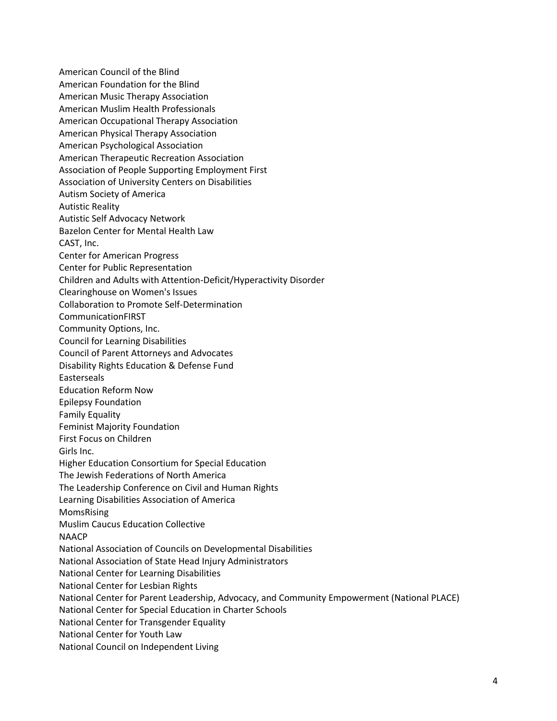American Council of the Blind American Foundation for the Blind American Music Therapy Association American Muslim Health Professionals American Occupational Therapy Association American Physical Therapy Association American Psychological Association American Therapeutic Recreation Association Association of People Supporting Employment First Association of University Centers on Disabilities Autism Society of America Autistic Reality Autistic Self Advocacy Network Bazelon Center for Mental Health Law CAST, Inc. Center for American Progress Center for Public Representation Children and Adults with Attention-Deficit/Hyperactivity Disorder Clearinghouse on Women's Issues Collaboration to Promote Self-Determination CommunicationFIRST Community Options, Inc. Council for Learning Disabilities Council of Parent Attorneys and Advocates Disability Rights Education & Defense Fund Easterseals Education Reform Now Epilepsy Foundation Family Equality Feminist Majority Foundation First Focus on Children Girls Inc. Higher Education Consortium for Special Education The Jewish Federations of North America The Leadership Conference on Civil and Human Rights Learning Disabilities Association of America MomsRising Muslim Caucus Education Collective NAACP National Association of Councils on Developmental Disabilities National Association of State Head Injury Administrators National Center for Learning Disabilities National Center for Lesbian Rights National Center for Parent Leadership, Advocacy, and Community Empowerment (National PLACE) National Center for Special Education in Charter Schools National Center for Transgender Equality National Center for Youth Law National Council on Independent Living